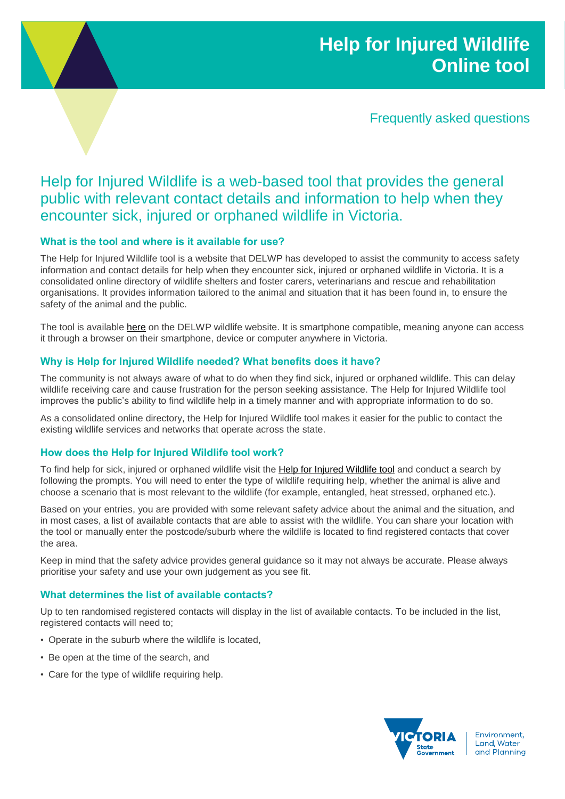# **Help for Injured Wildlife Online tool**

Frequently asked questions

# Help for Injured Wildlife is a web-based tool that provides the general public with relevant contact details and information to help when they encounter sick, injured or orphaned wildlife in Victoria.

# **What is the tool and where is it available for use?**

The Help for Injured Wildlife tool is a website that DELWP has developed to assist the community to access safety information and contact details for help when they encounter sick, injured or orphaned wildlife in Victoria. It is a consolidated online directory of wildlife shelters and foster carers, veterinarians and rescue and rehabilitation organisations. It provides information tailored to the animal and situation that it has been found in, to ensure the safety of the animal and the public.

The tool is available [here](https://www.wildlife.vic.gov.au/injured-native-wildlife/wildlife-tool) on the DELWP wildlife website. It is smartphone compatible, meaning anyone can access it through a browser on their smartphone, device or computer anywhere in Victoria.

# **Why is Help for Injured Wildlife needed? What benefits does it have?**

The community is not always aware of what to do when they find sick, injured or orphaned wildlife. This can delay wildlife receiving care and cause frustration for the person seeking assistance. The Help for Injured Wildlife tool improves the public's ability to find wildlife help in a timely manner and with appropriate information to do so.

As a consolidated online directory, the Help for Injured Wildlife tool makes it easier for the public to contact the existing wildlife services and networks that operate across the state.

## **How does the Help for Injured Wildlife tool work?**

To find help for sick, injured or orphaned wildlife visit the [Help for Injured Wildlife tool](https://www.wildlife.vic.gov.au/injured-native-wildlife/wildlife-tool) and conduct a search by following the prompts. You will need to enter the type of wildlife requiring help, whether the animal is alive and choose a scenario that is most relevant to the wildlife (for example, entangled, heat stressed, orphaned etc.).

Based on your entries, you are provided with some relevant safety advice about the animal and the situation, and in most cases, a list of available contacts that are able to assist with the wildlife. You can share your location with the tool or manually enter the postcode/suburb where the wildlife is located to find registered contacts that cover the area.

Keep in mind that the safety advice provides general guidance so it may not always be accurate. Please always prioritise your safety and use your own judgement as you see fit.

## **What determines the list of available contacts?**

Up to ten randomised registered contacts will display in the list of available contacts. To be included in the list, registered contacts will need to;

- Operate in the suburb where the wildlife is located,
- Be open at the time of the search, and
- Care for the type of wildlife requiring help.



Environment, Land, Water and Planning